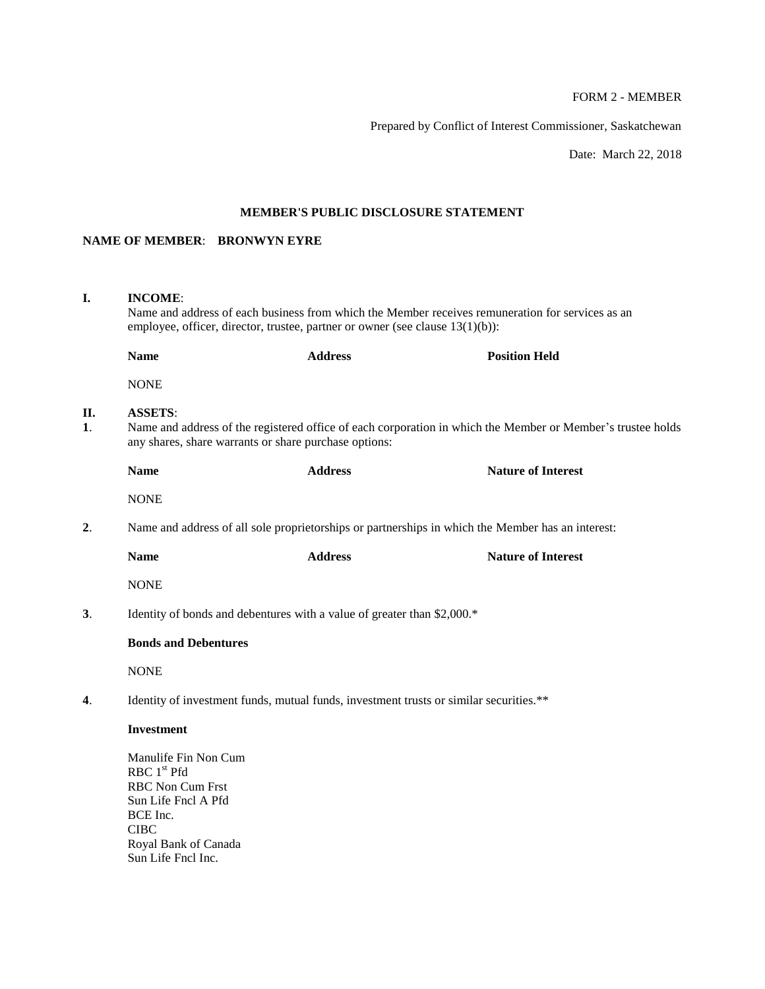# FORM 2 - MEMBER

Prepared by Conflict of Interest Commissioner, Saskatchewan

Date: March 22, 2018

## **MEMBER'S PUBLIC DISCLOSURE STATEMENT**

# **NAME OF MEMBER**: **BRONWYN EYRE**

| I.                   | <b>INCOME:</b><br>Name and address of each business from which the Member receives remuneration for services as an<br>employee, officer, director, trustee, partner or owner (see clause $13(1)(b)$ ): |                |                           |  |  |  |
|----------------------|--------------------------------------------------------------------------------------------------------------------------------------------------------------------------------------------------------|----------------|---------------------------|--|--|--|
|                      | <b>Name</b>                                                                                                                                                                                            | <b>Address</b> | <b>Position Held</b>      |  |  |  |
|                      | <b>NONE</b>                                                                                                                                                                                            |                |                           |  |  |  |
| П.<br>$\mathbf{1}$ . | <b>ASSETS:</b><br>Name and address of the registered office of each corporation in which the Member or Member's trustee holds<br>any shares, share warrants or share purchase options:                 |                |                           |  |  |  |
|                      | <b>Name</b>                                                                                                                                                                                            | <b>Address</b> | <b>Nature of Interest</b> |  |  |  |
|                      | <b>NONE</b>                                                                                                                                                                                            |                |                           |  |  |  |
| 2.                   | Name and address of all sole proprietorships or partnerships in which the Member has an interest:                                                                                                      |                |                           |  |  |  |
|                      | <b>Name</b>                                                                                                                                                                                            | <b>Address</b> | <b>Nature of Interest</b> |  |  |  |
|                      | <b>NONE</b>                                                                                                                                                                                            |                |                           |  |  |  |
| 3.                   | Identity of bonds and debentures with a value of greater than \$2,000.*                                                                                                                                |                |                           |  |  |  |
|                      | <b>Bonds and Debentures</b>                                                                                                                                                                            |                |                           |  |  |  |
|                      | <b>NONE</b>                                                                                                                                                                                            |                |                           |  |  |  |
| $\mathbf{4}$ .       | Identity of investment funds, mutual funds, investment trusts or similar securities.**                                                                                                                 |                |                           |  |  |  |
|                      | <b>Investment</b>                                                                                                                                                                                      |                |                           |  |  |  |
|                      | Manulife Fin Non Cum<br>RBC 1 <sup>st</sup> Pfd<br><b>RBC Non Cum Frst</b><br>Sun Life Fncl A Pfd<br>BCE Inc.<br><b>CIBC</b><br>Royal Bank of Canada<br>Sun Life Fncl Inc.                             |                |                           |  |  |  |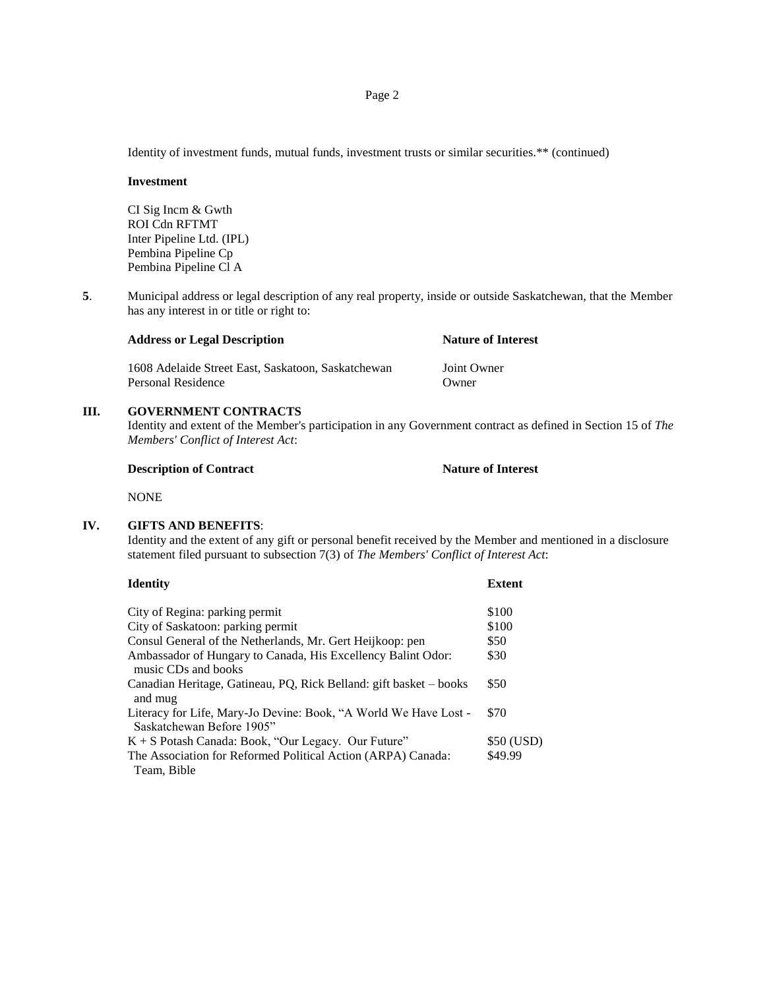Identity of investment funds, mutual funds, investment trusts or similar securities.\*\* (continued)

#### **Investment**

CI Sig Incm & Gwth ROI Cdn RFTMT Inter Pipeline Ltd. (IPL) Pembina Pipeline Cp Pembina Pipeline Cl A

**5**. Municipal address or legal description of any real property, inside or outside Saskatchewan, that the Member has any interest in or title or right to:

### **Address or Legal Description Nature of Interest**

1608 Adelaide Street East, Saskatoon, Saskatchewan Joint Owner Personal Residence Owner

## **III. GOVERNMENT CONTRACTS**

Identity and extent of the Member's participation in any Government contract as defined in Section 15 of *The Members' Conflict of Interest Act*:

#### **Description of Contract Nature of Interest**

NONE

### **IV. GIFTS AND BENEFITS**:

Identity and the extent of any gift or personal benefit received by the Member and mentioned in a disclosure statement filed pursuant to subsection 7(3) of *The Members' Conflict of Interest Act*:

| Identity                                                                                      | <b>Extent</b> |
|-----------------------------------------------------------------------------------------------|---------------|
| City of Regina: parking permit                                                                | \$100         |
| City of Saskatoon: parking permit                                                             | \$100         |
| Consul General of the Netherlands, Mr. Gert Heijkoop: pen                                     | \$50          |
| Ambassador of Hungary to Canada, His Excellency Balint Odor:<br>music CDs and books           | \$30          |
| Canadian Heritage, Gatineau, PQ, Rick Belland: gift basket – books<br>and mug                 | \$50          |
| Literacy for Life, Mary-Jo Devine: Book, "A World We Have Lost -<br>Saskatchewan Before 1905" | \$70          |
| K + S Potash Canada: Book, "Our Legacy. Our Future"                                           | \$50 (USD)    |
| The Association for Reformed Political Action (ARPA) Canada:<br>Team, Bible                   | \$49.99       |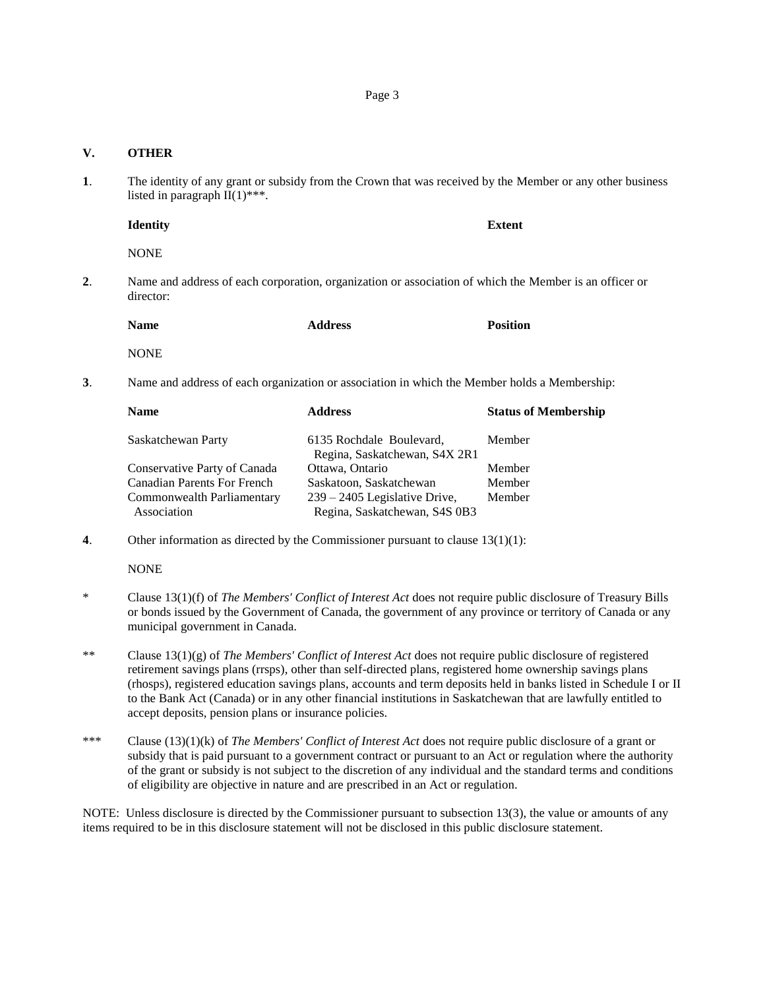### **V. OTHER**

**1**. The identity of any grant or subsidy from the Crown that was received by the Member or any other business listed in paragraph  $\overline{II}(1)$ \*\*\*.

### **Identity Extent**

NONE

**2**. Name and address of each corporation, organization or association of which the Member is an officer or director:

| <b>Name</b> | <b>Address</b> | <b>Position</b> |
|-------------|----------------|-----------------|
|             |                |                 |

NONE

**3**. Name and address of each organization or association in which the Member holds a Membership:

| <b>Address</b>                  | <b>Status of Membership</b>                      |
|---------------------------------|--------------------------------------------------|
| 6135 Rochdale Boulevard,        | Member                                           |
|                                 |                                                  |
|                                 | Member                                           |
| Saskatoon, Saskatchewan         | Member                                           |
| $239 - 2405$ Legislative Drive, | Member                                           |
| Regina, Saskatchewan, S4S 0B3   |                                                  |
|                                 | Regina, Saskatchewan, S4X 2R1<br>Ottawa, Ontario |

**4**. Other information as directed by the Commissioner pursuant to clause 13(1)(1):

NONE

- \* Clause 13(1)(f) of *The Members' Conflict of Interest Act* does not require public disclosure of Treasury Bills or bonds issued by the Government of Canada, the government of any province or territory of Canada or any municipal government in Canada.
- \*\* Clause 13(1)(g) of *The Members' Conflict of Interest Act* does not require public disclosure of registered retirement savings plans (rrsps), other than self-directed plans, registered home ownership savings plans (rhosps), registered education savings plans, accounts and term deposits held in banks listed in Schedule I or II to the Bank Act (Canada) or in any other financial institutions in Saskatchewan that are lawfully entitled to accept deposits, pension plans or insurance policies.
- \*\*\* Clause (13)(1)(k) of *The Members' Conflict of Interest Act* does not require public disclosure of a grant or subsidy that is paid pursuant to a government contract or pursuant to an Act or regulation where the authority of the grant or subsidy is not subject to the discretion of any individual and the standard terms and conditions of eligibility are objective in nature and are prescribed in an Act or regulation.

NOTE: Unless disclosure is directed by the Commissioner pursuant to subsection 13(3), the value or amounts of any items required to be in this disclosure statement will not be disclosed in this public disclosure statement.